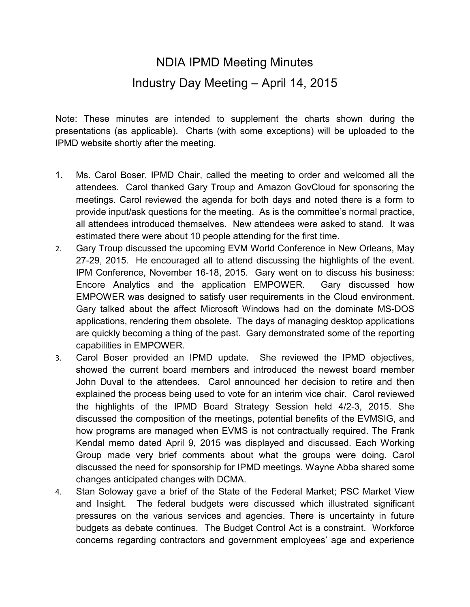## NDIA IPMD Meeting Minutes Industry Day Meeting – April 14, 2015

Note: These minutes are intended to supplement the charts shown during the presentations (as applicable). Charts (with some exceptions) will be uploaded to the IPMD website shortly after the meeting.

- 1. Ms. Carol Boser, IPMD Chair, called the meeting to order and welcomed all the attendees. Carol thanked Gary Troup and Amazon GovCloud for sponsoring the meetings. Carol reviewed the agenda for both days and noted there is a form to provide input/ask questions for the meeting. As is the committee's normal practice, all attendees introduced themselves. New attendees were asked to stand. It was estimated there were about 10 people attending for the first time.
- 2. Gary Troup discussed the upcoming EVM World Conference in New Orleans, May 27-29, 2015. He encouraged all to attend discussing the highlights of the event. IPM Conference, November 16-18, 2015. Gary went on to discuss his business: Encore Analytics and the application EMPOWER. Gary discussed how EMPOWER was designed to satisfy user requirements in the Cloud environment. Gary talked about the affect Microsoft Windows had on the dominate MS-DOS applications, rendering them obsolete. The days of managing desktop applications are quickly becoming a thing of the past. Gary demonstrated some of the reporting capabilities in EMPOWER.
- 3. Carol Boser provided an IPMD update. She reviewed the IPMD objectives, showed the current board members and introduced the newest board member John Duval to the attendees. Carol announced her decision to retire and then explained the process being used to vote for an interim vice chair. Carol reviewed the highlights of the IPMD Board Strategy Session held 4/2-3, 2015. She discussed the composition of the meetings, potential benefits of the EVMSIG, and how programs are managed when EVMS is not contractually required. The Frank Kendal memo dated April 9, 2015 was displayed and discussed. Each Working Group made very brief comments about what the groups were doing. Carol discussed the need for sponsorship for IPMD meetings. Wayne Abba shared some changes anticipated changes with DCMA.
- 4. Stan Soloway gave a brief of the State of the Federal Market; PSC Market View and Insight. The federal budgets were discussed which illustrated significant pressures on the various services and agencies. There is uncertainty in future budgets as debate continues. The Budget Control Act is a constraint. Workforce concerns regarding contractors and government employees' age and experience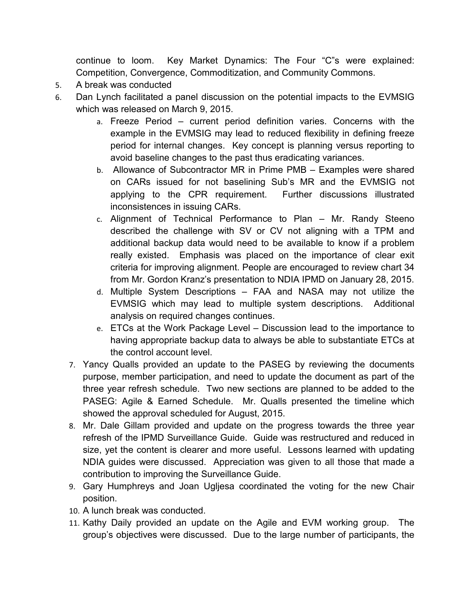continue to loom. Key Market Dynamics: The Four "C"s were explained: Competition, Convergence, Commoditization, and Community Commons.

- 5. A break was conducted
- 6. Dan Lynch facilitated a panel discussion on the potential impacts to the EVMSIG which was released on March 9, 2015.
	- a. Freeze Period current period definition varies. Concerns with the example in the EVMSIG may lead to reduced flexibility in defining freeze period for internal changes. Key concept is planning versus reporting to avoid baseline changes to the past thus eradicating variances.
	- b. Allowance of Subcontractor MR in Prime PMB Examples were shared on CARs issued for not baselining Sub's MR and the EVMSIG not applying to the CPR requirement. Further discussions illustrated inconsistences in issuing CARs.
	- c. Alignment of Technical Performance to Plan Mr. Randy Steeno described the challenge with SV or CV not aligning with a TPM and additional backup data would need to be available to know if a problem really existed. Emphasis was placed on the importance of clear exit criteria for improving alignment. People are encouraged to review chart 34 from Mr. Gordon Kranz's presentation to NDIA IPMD on January 28, 2015.
	- d. Multiple System Descriptions FAA and NASA may not utilize the EVMSIG which may lead to multiple system descriptions. Additional analysis on required changes continues.
	- e. ETCs at the Work Package Level Discussion lead to the importance to having appropriate backup data to always be able to substantiate ETCs at the control account level.
	- 7. Yancy Qualls provided an update to the PASEG by reviewing the documents purpose, member participation, and need to update the document as part of the three year refresh schedule. Two new sections are planned to be added to the PASEG: Agile & Earned Schedule. Mr. Qualls presented the timeline which showed the approval scheduled for August, 2015.
	- 8. Mr. Dale Gillam provided and update on the progress towards the three year refresh of the IPMD Surveillance Guide. Guide was restructured and reduced in size, yet the content is clearer and more useful. Lessons learned with updating NDIA guides were discussed. Appreciation was given to all those that made a contribution to improving the Surveillance Guide.
	- 9. Gary Humphreys and Joan Ugljesa coordinated the voting for the new Chair position.
	- 10. A lunch break was conducted.
	- 11. Kathy Daily provided an update on the Agile and EVM working group. The group's objectives were discussed. Due to the large number of participants, the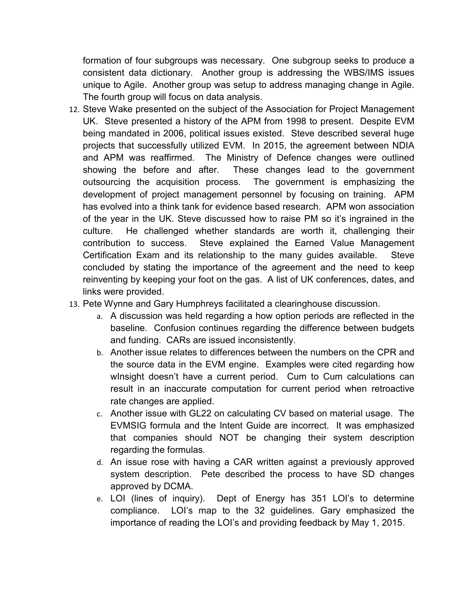formation of four subgroups was necessary. One subgroup seeks to produce a consistent data dictionary. Another group is addressing the WBS/IMS issues unique to Agile. Another group was setup to address managing change in Agile. The fourth group will focus on data analysis.

- 12. Steve Wake presented on the subject of the Association for Project Management UK. Steve presented a history of the APM from 1998 to present. Despite EVM being mandated in 2006, political issues existed. Steve described several huge projects that successfully utilized EVM. In 2015, the agreement between NDIA and APM was reaffirmed. The Ministry of Defence changes were outlined showing the before and after. These changes lead to the government outsourcing the acquisition process. The government is emphasizing the development of project management personnel by focusing on training. APM has evolved into a think tank for evidence based research. APM won association of the year in the UK. Steve discussed how to raise PM so it's ingrained in the culture. He challenged whether standards are worth it, challenging their contribution to success. Steve explained the Earned Value Management Certification Exam and its relationship to the many guides available. Steve concluded by stating the importance of the agreement and the need to keep reinventing by keeping your foot on the gas. A list of UK conferences, dates, and links were provided.
- 13. Pete Wynne and Gary Humphreys facilitated a clearinghouse discussion.
	- a. A discussion was held regarding a how option periods are reflected in the baseline. Confusion continues regarding the difference between budgets and funding. CARs are issued inconsistently.
	- b. Another issue relates to differences between the numbers on the CPR and the source data in the EVM engine. Examples were cited regarding how wInsight doesn't have a current period. Cum to Cum calculations can result in an inaccurate computation for current period when retroactive rate changes are applied.
	- c. Another issue with GL22 on calculating CV based on material usage. The EVMSIG formula and the Intent Guide are incorrect. It was emphasized that companies should NOT be changing their system description regarding the formulas.
	- d. An issue rose with having a CAR written against a previously approved system description. Pete described the process to have SD changes approved by DCMA.
	- e. LOI (lines of inquiry). Dept of Energy has 351 LOI's to determine compliance. LOI's map to the 32 guidelines. Gary emphasized the importance of reading the LOI's and providing feedback by May 1, 2015.